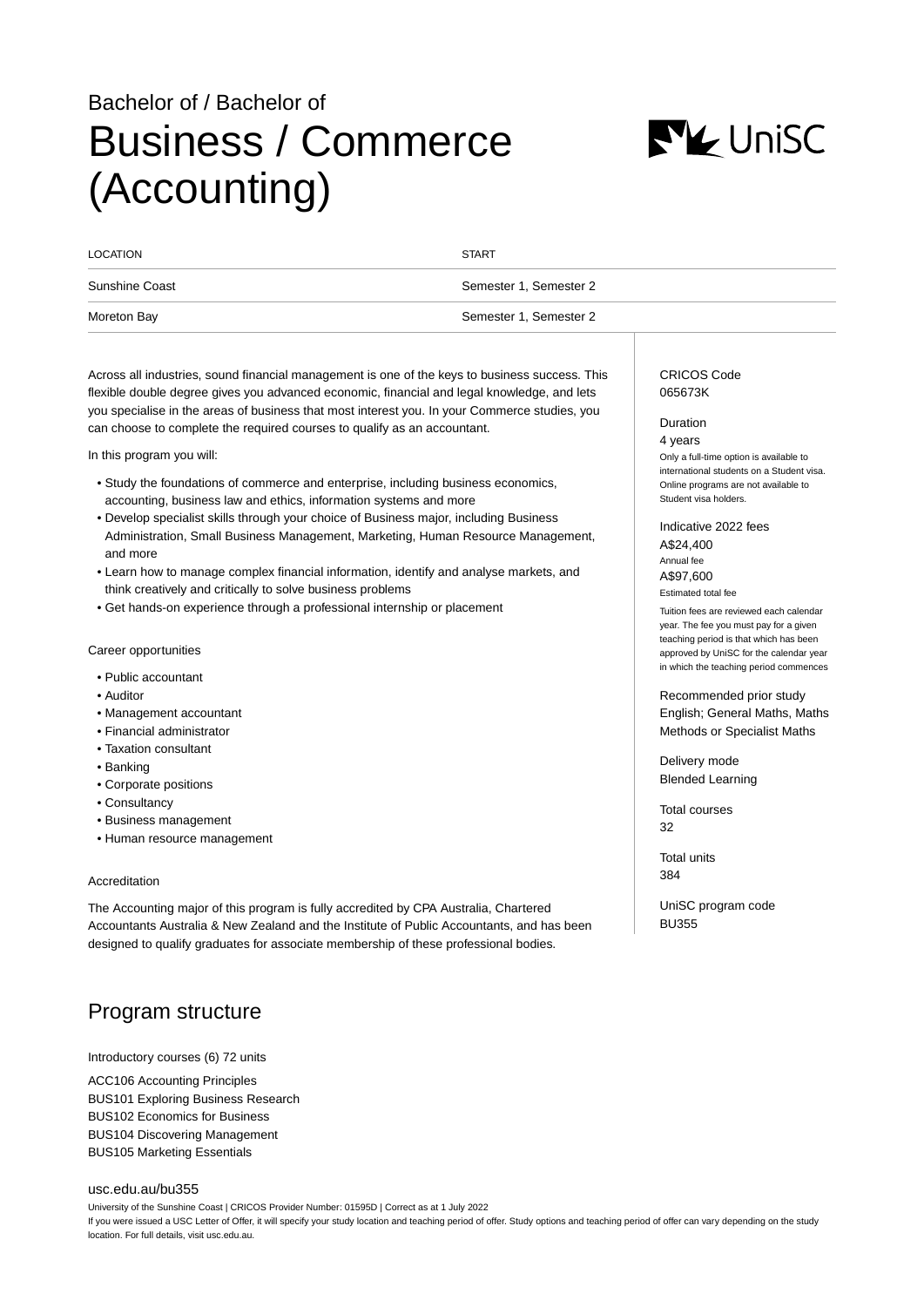# Bachelor of / Bachelor of Business / Commerce (Accounting)



| <b>LOCATION</b> | <b>START</b>           |
|-----------------|------------------------|
| Sunshine Coast  | Semester 1, Semester 2 |
| Moreton Bay     | Semester 1, Semester 2 |
|                 |                        |

Across all industries, sound financial management is one of the keys to business success. This flexible double degree gives you advanced economic, financial and legal knowledge, and lets you specialise in the areas of business that most interest you. In your Commerce studies, you can choose to complete the required courses to qualify as an accountant.

In this program you will:

- Study the foundations of commerce and enterprise, including business economics, accounting, business law and ethics, information systems and more
- Develop specialist skills through your choice of Business major, including Business Administration, Small Business Management, Marketing, Human Resource Management, and more
- Learn how to manage complex financial information, identify and analyse markets, and think creatively and critically to solve business problems
- Get hands-on experience through a professional internship or placement

#### Career opportunities

- Public accountant
- Auditor
- Management accountant
- Financial administrator
- Taxation consultant
- Banking
- Corporate positions
- Consultancy
- Business management
- Human resource management

### Accreditation

The Accounting major of this program is fully accredited by CPA Australia, Chartered Accountants Australia & New Zealand and the Institute of Public Accountants, and has been designed to qualify graduates for associate membership of these professional bodies.

# Program structure

Introductory courses (6) 72 units

ACC106 Accounting Principles BUS101 Exploring Business Research BUS102 Economics for Business BUS104 Discovering Management BUS105 Marketing Essentials

#### [usc.edu.au/bu355](https://www.usc.edu.au/bu355)

University of the Sunshine Coast | CRICOS Provider Number: 01595D | Correct as at 1 July 2022 If you were issued a USC Letter of Offer, it will specify your study location and teaching period of offer. Study options and teaching period of offer can vary depending on the study location. For full details, visit usc.edu.au.

CRICOS Code 065673K

#### Duration

4 years Only a full-time option is available to international students on a Student visa. Online programs are not available to Student visa holders.

Indicative 2022 fees A\$24,400 Annual fee A\$97,600 Estimated total fee

Tuition fees are reviewed each calendar year. The fee you must pay for a given teaching period is that which has been approved by UniSC for the calendar year in which the teaching period commences

Recommended prior study English; General Maths, Maths Methods or Specialist Maths

Delivery mode Blended Learning

Total courses 32

Total units 384

UniSC program code BU355